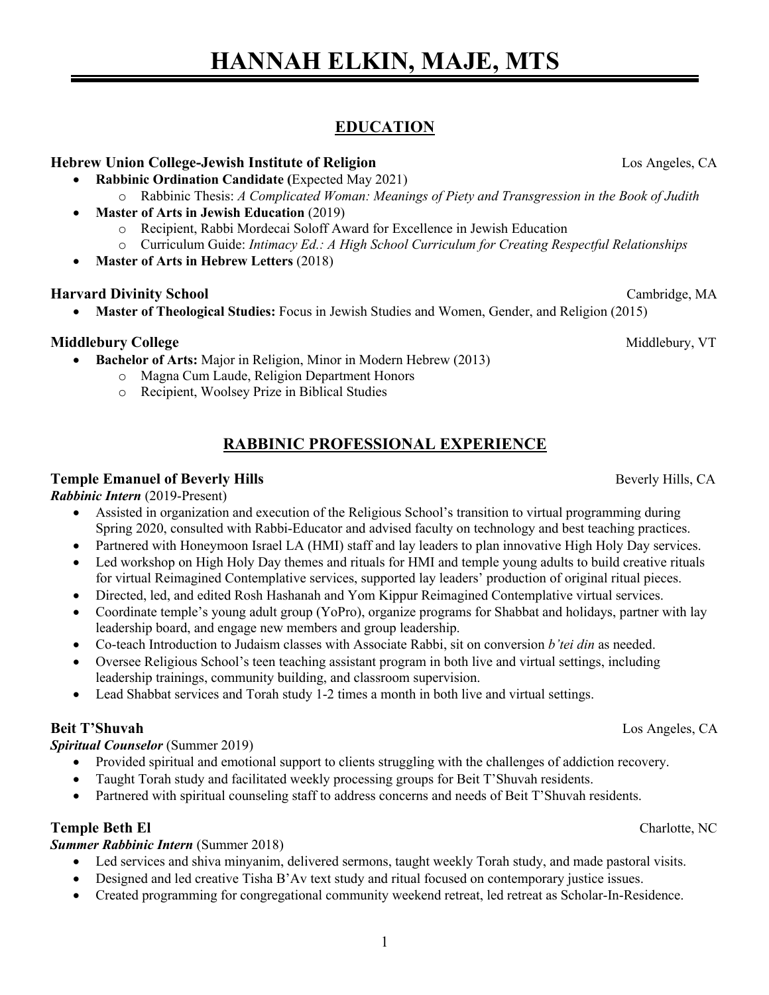# **EDUCATION**

### **Hebrew Union College-Jewish Institute of Religion** Los Angeles, CA

- **Rabbinic Ordination Candidate (**Expected May 2021)
	- o Rabbinic Thesis: *A Complicated Woman: Meanings of Piety and Transgression in the Book of Judith*
- **Master of Arts in Jewish Education** (2019)
	- o Recipient, Rabbi Mordecai Soloff Award for Excellence in Jewish Education
	- o Curriculum Guide: *Intimacy Ed.: A High School Curriculum for Creating Respectful Relationships*
- **Master of Arts in Hebrew Letters** (2018)

### **Harvard Divinity School** Cambridge, MA

• **Master of Theological Studies:** Focus in Jewish Studies and Women, Gender, and Religion (2015)

### **Middlebury College** Middlebury, VT and the set of the set of the set of the set of the set of the set of the set of the set of the set of the set of the set of the set of the set of the set of the set of the set of the se

- **Bachelor of Arts:** Major in Religion, Minor in Modern Hebrew (2013)
	- o Magna Cum Laude, Religion Department Honors
	- o Recipient, Woolsey Prize in Biblical Studies

### **RABBINIC PROFESSIONAL EXPERIENCE**

### **Temple Emanuel of Beverly Hills Beverly Hills Beverly Hills**, CA

#### *Rabbinic Intern* (2019-Present)

- Assisted in organization and execution of the Religious School's transition to virtual programming during Spring 2020, consulted with Rabbi-Educator and advised faculty on technology and best teaching practices.
- Partnered with Honeymoon Israel LA (HMI) staff and lay leaders to plan innovative High Holy Day services.
- Led workshop on High Holy Day themes and rituals for HMI and temple young adults to build creative rituals for virtual Reimagined Contemplative services, supported lay leaders' production of original ritual pieces.
- Directed, led, and edited Rosh Hashanah and Yom Kippur Reimagined Contemplative virtual services.
- Coordinate temple's young adult group (YoPro), organize programs for Shabbat and holidays, partner with lay leadership board, and engage new members and group leadership.
- Co-teach Introduction to Judaism classes with Associate Rabbi, sit on conversion *b'tei din* as needed.
- Oversee Religious School's teen teaching assistant program in both live and virtual settings, including leadership trainings, community building, and classroom supervision.
- Lead Shabbat services and Torah study 1-2 times a month in both live and virtual settings.

### **Beit T'Shuvah** Los Angeles, CA

### *Spiritual Counselor* (Summer 2019)

- Provided spiritual and emotional support to clients struggling with the challenges of addiction recovery.
- Taught Torah study and facilitated weekly processing groups for Beit T'Shuvah residents.
- Partnered with spiritual counseling staff to address concerns and needs of Beit T'Shuvah residents.

### **Temple Beth El** Charlotte, NC

### *Summer Rabbinic Intern* (Summer 2018)

- Led services and shiva minyanim, delivered sermons, taught weekly Torah study, and made pastoral visits.
- Designed and led creative Tisha B'Av text study and ritual focused on contemporary justice issues.
- Created programming for congregational community weekend retreat, led retreat as Scholar-In-Residence.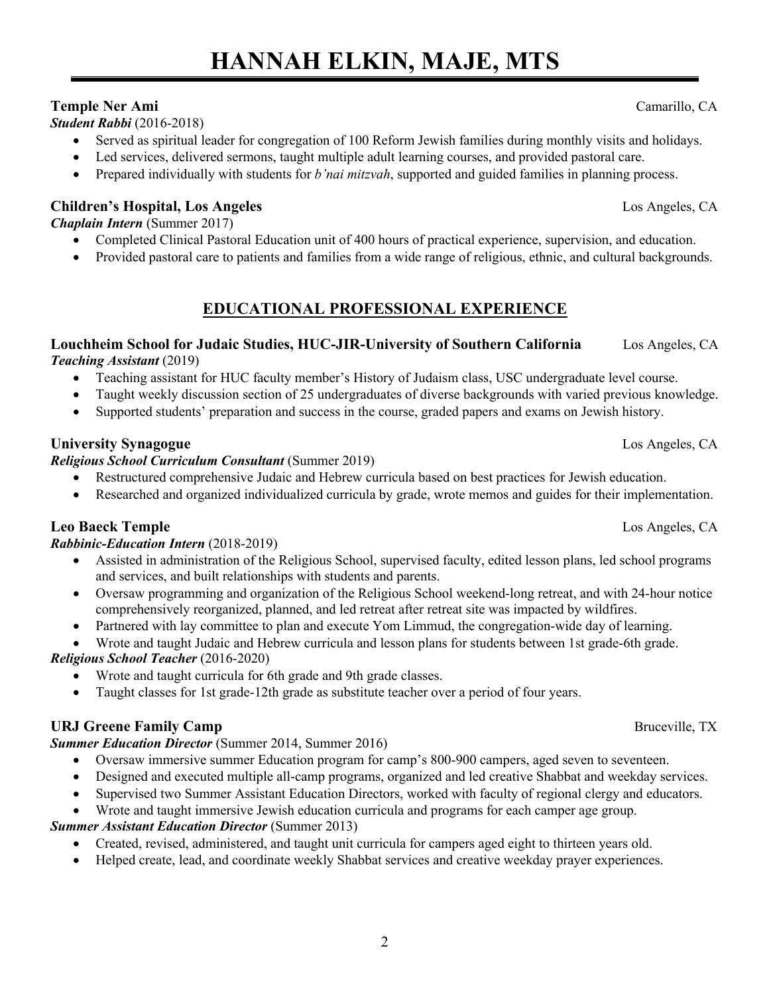# **HANNAH ELKIN, MAJE, MTS**

# **Temple Ner Ami** Camarillo, CA

*Student Rabbi* (2016-2018)

- Served as spiritual leader for congregation of 100 Reform Jewish families during monthly visits and holidays.
- Led services, delivered sermons, taught multiple adult learning courses, and provided pastoral care.
- Prepared individually with students for *b'nai mitzvah*, supported and guided families in planning process.

# **Children's Hospital, Los Angeles** Los Angeles, CA

*Chaplain Intern* (Summer 2017)

- Completed Clinical Pastoral Education unit of 400 hours of practical experience, supervision, and education.
- Provided pastoral care to patients and families from a wide range of religious, ethnic, and cultural backgrounds.

# **EDUCATIONAL PROFESSIONAL EXPERIENCE**

# **Louchheim School for Judaic Studies, HUC-JIR-University of Southern California** Los Angeles, CA

*Teaching Assistant* (2019)

- Teaching assistant for HUC faculty member's History of Judaism class, USC undergraduate level course.
- Taught weekly discussion section of 25 undergraduates of diverse backgrounds with varied previous knowledge.
- Supported students' preparation and success in the course, graded papers and exams on Jewish history.

# **University Synagogue** Los Angeles, CA

### *Religious School Curriculum Consultant* (Summer 2019)

- Restructured comprehensive Judaic and Hebrew curricula based on best practices for Jewish education.
- Researched and organized individualized curricula by grade, wrote memos and guides for their implementation.

# **Leo Baeck Temple** Los Angeles, CA

### *Rabbinic-Education Intern* (2018-2019)

- Assisted in administration of the Religious School, supervised faculty, edited lesson plans, led school programs and services, and built relationships with students and parents.
- Oversaw programming and organization of the Religious School weekend-long retreat, and with 24-hour notice comprehensively reorganized, planned, and led retreat after retreat site was impacted by wildfires.
- Partnered with lay committee to plan and execute Yom Limmud, the congregation-wide day of learning.
- Wrote and taught Judaic and Hebrew curricula and lesson plans for students between 1st grade-6th grade.

# *Religious School Teacher* (2016-2020)

- Wrote and taught curricula for 6th grade and 9th grade classes.
- Taught classes for 1st grade-12th grade as substitute teacher over a period of four years.

# **URJ Greene Family Camp Bruceville, TX Bruceville, TX Bruceville, TX**

### *Summer Education Director* (Summer 2014, Summer 2016)

- Oversaw immersive summer Education program for camp's 800-900 campers, aged seven to seventeen.
- Designed and executed multiple all-camp programs, organized and led creative Shabbat and weekday services.
- Supervised two Summer Assistant Education Directors, worked with faculty of regional clergy and educators.
- Wrote and taught immersive Jewish education curricula and programs for each camper age group.

### *Summer Assistant Education Director* (Summer 2013)

- Created, revised, administered, and taught unit curricula for campers aged eight to thirteen years old.
- Helped create, lead, and coordinate weekly Shabbat services and creative weekday prayer experiences.